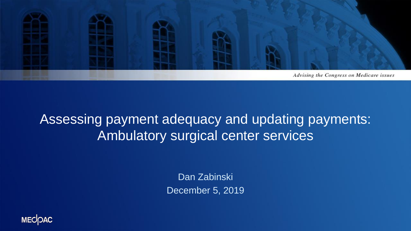

### Assessing payment adequacy and updating payments: Ambulatory surgical center services

Dan Zabinski December 5, 2019

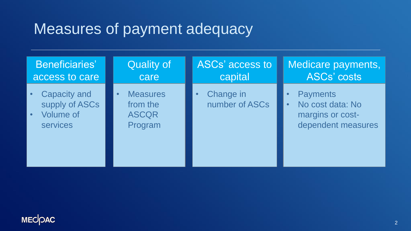# Measures of payment adequacy

| <b>Beneficiaries'</b>                                                        | <b>Quality of</b>                                      | ASCs' access to             | Medicare payments,                                                                         |
|------------------------------------------------------------------------------|--------------------------------------------------------|-----------------------------|--------------------------------------------------------------------------------------------|
| access to care                                                               | care                                                   | capital                     | <b>ASCs' costs</b>                                                                         |
| <b>Capacity and</b><br>supply of ASCs<br><b>Volume of</b><br><b>services</b> | <b>Measures</b><br>from the<br><b>ASCQR</b><br>Program | Change in<br>number of ASCs | <b>Payments</b><br>No cost data: No<br>$\bullet$<br>margins or cost-<br>dependent measures |

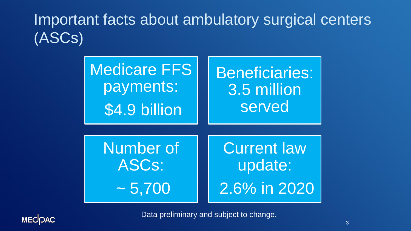# Important facts about ambulatory surgical centers (ASCs)

| <b>Medicare FFS</b> | Beneficiaries:     |  |
|---------------------|--------------------|--|
| payments:           | 3.5 million        |  |
| \$4.9 billion       | served             |  |
| Number of           | <b>Current law</b> |  |
| ASCs:               | update:            |  |
| $\sim 5,700$        | 2.6% in 2020       |  |



Data preliminary and subject to change.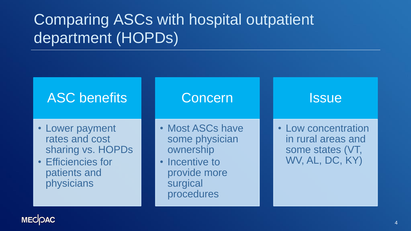# Comparing ASCs with hospital outpatient department (HOPDs)

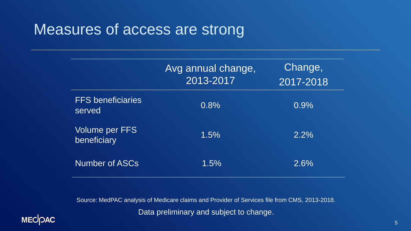### Measures of access are strong

|                                      | Avg annual change,<br>2013-2017 | Change,<br>2017-2018 |
|--------------------------------------|---------------------------------|----------------------|
| <b>FFS</b> beneficiaries<br>served   | 0.8%                            | 0.9%                 |
| <b>Volume per FFS</b><br>beneficiary | 1.5%                            | $2.2\%$              |
| <b>Number of ASCs</b>                | 1.5%                            | 2.6%                 |

Source: MedPAC analysis of Medicare claims and Provider of Services file from CMS, 2013-2018. Data preliminary and subject to change.

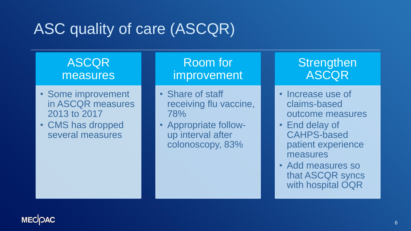# ASC quality of care (ASCQR)

### **ASCQR** measures

- Some improvement in ASCQR measures 2013 to 2017
- CMS has dropped several measures

### Room for improvement

- Share of staff receiving flu vaccine, 78%
- Appropriate followup interval after colonoscopy, 83%

#### **Strengthen** ASCQR

- Increase use of claims-based outcome measures
- End delay of CAHPS-based patient experience measures
- Add measures so that ASCQR syncs with hospital OQR

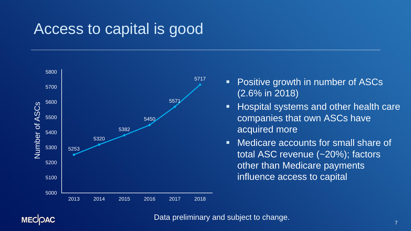### Access to capital is good



- Positive growth in number of ASCs (2.6% in 2018)
- **EXP** Hospital systems and other health care companies that own ASCs have acquired more
- Medicare accounts for small share of total ASC revenue (~20%); factors other than Medicare payments influence access to capital

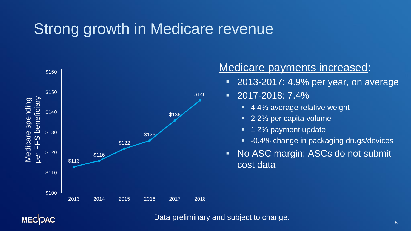# Strong growth in Medicare revenue



#### Medicare payments increased:

- **2013-2017: 4.9% per year, on average**
- 2017-2018: 7.4%
	- 4.4% average relative weight
	- 2.2% per capita volume
	- 1.2% payment update
	- -0.4% change in packaging drugs/devices
- No ASC margin; ASCs do not submit cost data

#### **MECOAC**

#### Data preliminary and subject to change.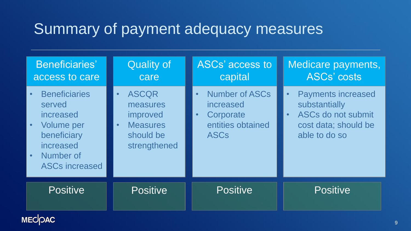## Summary of payment adequacy measures

| <b>Beneficiaries'</b><br>access to care                                                                                                         | <b>Quality of</b><br>care                                                                         | ASCs' access to<br>capital                                                                                    | Medicare payments,<br><b>ASCs' costs</b>                                                                                            |
|-------------------------------------------------------------------------------------------------------------------------------------------------|---------------------------------------------------------------------------------------------------|---------------------------------------------------------------------------------------------------------------|-------------------------------------------------------------------------------------------------------------------------------------|
| <b>Beneficiaries</b><br>$\bullet$<br>served<br>increased<br><b>Volume per</b><br>beneficiary<br>increased<br>Number of<br><b>ASCs increased</b> | <b>ASCQR</b><br>$\bullet$<br>measures<br>improved<br><b>Measures</b><br>should be<br>strengthened | <b>Number of ASCs</b><br>$\bullet$<br>increased<br>Corporate<br>$\bullet$<br>entities obtained<br><b>ASCs</b> | <b>Payments increased</b><br>$\bullet$<br>substantially<br>ASCs do not submit<br>$\bullet$<br>cost data; should be<br>able to do so |
| <b>Positive</b>                                                                                                                                 | <b>Positive</b>                                                                                   | <b>Positive</b>                                                                                               | <b>Positive</b>                                                                                                                     |